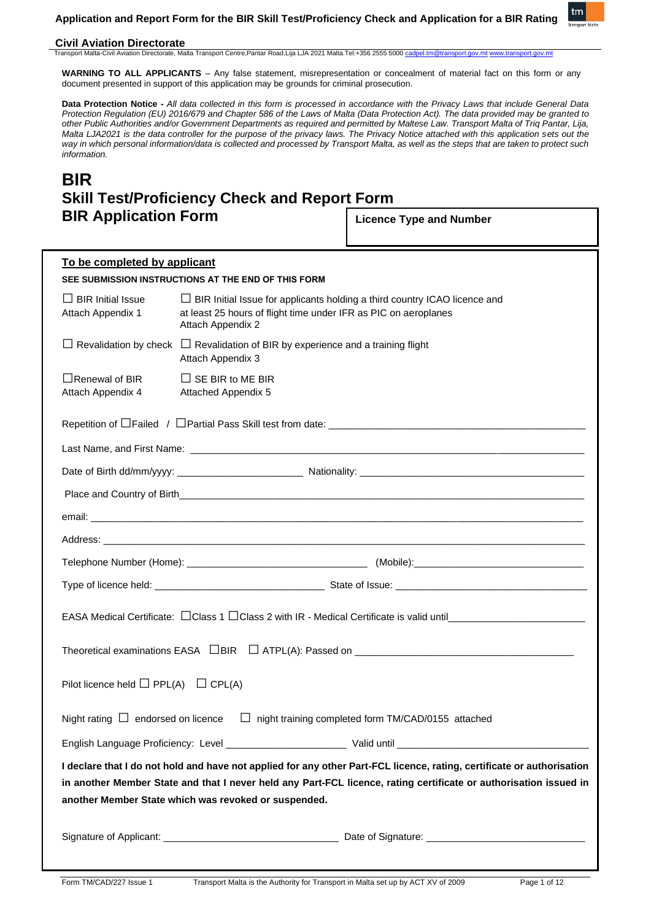**Application and Report Form for the BIR Skill Test/Proficiency Check and Application for a BIR Rating**



## **Civil Aviation Directorate**

Transport Malta-Civil Aviation Directorate, Malta Transport Centre,Pantar Road,Lija LJA 2021 Malta.Tel:+356 2555 5000 ca

**WARNING TO ALL APPLICANTS** – Any false statement, misrepresentation or concealment of material fact on this form or any document presented in support of this application may be grounds for criminal prosecution.

**Data Protection Notice -** *All data collected in this form is processed in accordance with the Privacy Laws that include General Data Protection Regulation (EU) 2016/679 and Chapter 586 of the Laws of Malta (Data Protection Act). The data provided may be granted to other Public Authorities and/or Government Departments as required and permitted by Maltese Law. Transport Malta of Triq Pantar, Lija, Malta LJA2021 is the data controller for the purpose of the privacy laws. The Privacy Notice attached with this application sets out the way in which personal information/data is collected and processed by Transport Malta, as well as the steps that are taken to protect such information.*

# **BIR Skill Test/Proficiency Check and Report Form BIR Application Form**

**Licence Type and Number** 

| To be completed by applicant                                                                                                                                                                                                                                                                        |                                                                                                                                                                          |  |  |
|-----------------------------------------------------------------------------------------------------------------------------------------------------------------------------------------------------------------------------------------------------------------------------------------------------|--------------------------------------------------------------------------------------------------------------------------------------------------------------------------|--|--|
|                                                                                                                                                                                                                                                                                                     | SEE SUBMISSION INSTRUCTIONS AT THE END OF THIS FORM                                                                                                                      |  |  |
| $\Box$ BIR Initial Issue<br>Attach Appendix 1                                                                                                                                                                                                                                                       | $\Box$ BIR Initial Issue for applicants holding a third country ICAO licence and<br>at least 25 hours of flight time under IFR as PIC on aeroplanes<br>Attach Appendix 2 |  |  |
|                                                                                                                                                                                                                                                                                                     | $\Box$ Revalidation by check $\Box$ Revalidation of BIR by experience and a training flight<br>Attach Appendix 3                                                         |  |  |
| $\Box$ Renewal of BIR<br>Attach Appendix 4                                                                                                                                                                                                                                                          | $\Box$ SE BIR to ME BIR<br><b>Attached Appendix 5</b>                                                                                                                    |  |  |
|                                                                                                                                                                                                                                                                                                     |                                                                                                                                                                          |  |  |
|                                                                                                                                                                                                                                                                                                     |                                                                                                                                                                          |  |  |
|                                                                                                                                                                                                                                                                                                     |                                                                                                                                                                          |  |  |
|                                                                                                                                                                                                                                                                                                     |                                                                                                                                                                          |  |  |
|                                                                                                                                                                                                                                                                                                     |                                                                                                                                                                          |  |  |
|                                                                                                                                                                                                                                                                                                     |                                                                                                                                                                          |  |  |
|                                                                                                                                                                                                                                                                                                     |                                                                                                                                                                          |  |  |
|                                                                                                                                                                                                                                                                                                     |                                                                                                                                                                          |  |  |
|                                                                                                                                                                                                                                                                                                     |                                                                                                                                                                          |  |  |
|                                                                                                                                                                                                                                                                                                     |                                                                                                                                                                          |  |  |
| Pilot licence held $\Box$ PPL(A) $\Box$ CPL(A)                                                                                                                                                                                                                                                      |                                                                                                                                                                          |  |  |
| Night rating $\Box$ endorsed on licence $\Box$ night training completed form TM/CAD/0155 attached                                                                                                                                                                                                   |                                                                                                                                                                          |  |  |
|                                                                                                                                                                                                                                                                                                     |                                                                                                                                                                          |  |  |
| I declare that I do not hold and have not applied for any other Part-FCL licence, rating, certificate or authorisation<br>in another Member State and that I never held any Part-FCL licence, rating certificate or authorisation issued in<br>another Member State which was revoked or suspended. |                                                                                                                                                                          |  |  |
|                                                                                                                                                                                                                                                                                                     |                                                                                                                                                                          |  |  |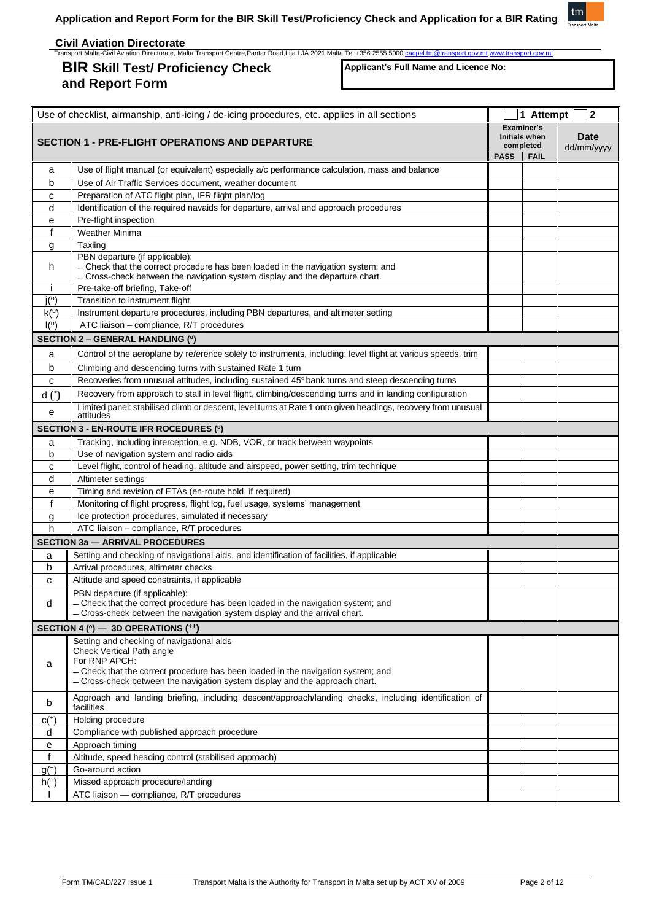# **BIR Skill Test/ Proficiency Check and Report Form**

**Applicant's Full Name and Licence No:**

tm

|              | Use of checklist, airmanship, anti-icing / de-icing procedures, etc. applies in all sections                                                                   |             | 1 Attempt                         | $\mathbf 2$               |
|--------------|----------------------------------------------------------------------------------------------------------------------------------------------------------------|-------------|-----------------------------------|---------------------------|
|              |                                                                                                                                                                |             | Examiner's                        |                           |
|              | <b>SECTION 1 - PRE-FLIGHT OPERATIONS AND DEPARTURE</b>                                                                                                         |             | <b>Initials when</b><br>completed | <b>Date</b><br>dd/mm/yyyy |
|              |                                                                                                                                                                | <b>PASS</b> | <b>FAIL</b>                       |                           |
| a            | Use of flight manual (or equivalent) especially a/c performance calculation, mass and balance                                                                  |             |                                   |                           |
| b            | Use of Air Traffic Services document, weather document                                                                                                         |             |                                   |                           |
| с            | Preparation of ATC flight plan, IFR flight plan/log                                                                                                            |             |                                   |                           |
| d            | Identification of the required navaids for departure, arrival and approach procedures                                                                          |             |                                   |                           |
| е            | Pre-flight inspection                                                                                                                                          |             |                                   |                           |
| f            | <b>Weather Minima</b>                                                                                                                                          |             |                                   |                           |
| g            | Taxiing                                                                                                                                                        |             |                                   |                           |
|              | PBN departure (if applicable):                                                                                                                                 |             |                                   |                           |
| h            | - Check that the correct procedure has been loaded in the navigation system; and                                                                               |             |                                   |                           |
| j.           | - Cross-check between the navigation system display and the departure chart.<br>Pre-take-off briefing, Take-off                                                |             |                                   |                           |
| j(°)         | Transition to instrument flight                                                                                                                                |             |                                   |                           |
| k(°)         | Instrument departure procedures, including PBN departures, and altimeter setting                                                                               |             |                                   |                           |
| I(°)         | ATC liaison - compliance, R/T procedures                                                                                                                       |             |                                   |                           |
|              | <b>SECTION 2 - GENERAL HANDLING (°)</b>                                                                                                                        |             |                                   |                           |
|              |                                                                                                                                                                |             |                                   |                           |
| a            | Control of the aeroplane by reference solely to instruments, including: level flight at various speeds, trim                                                   |             |                                   |                           |
| b            | Climbing and descending turns with sustained Rate 1 turn                                                                                                       |             |                                   |                           |
| c            | Recoveries from unusual attitudes, including sustained 45° bank turns and steep descending turns                                                               |             |                                   |                           |
| $d*$         | Recovery from approach to stall in level flight, climbing/descending turns and in landing configuration                                                        |             |                                   |                           |
| е            | Limited panel: stabilised climb or descent, level turns at Rate 1 onto given headings, recovery from unusual<br>attitudes                                      |             |                                   |                           |
|              | <b>SECTION 3 - EN-ROUTE IFR ROCEDURES (°)</b>                                                                                                                  |             |                                   |                           |
| a            | Tracking, including interception, e.g. NDB, VOR, or track between waypoints                                                                                    |             |                                   |                           |
| b            | Use of navigation system and radio aids                                                                                                                        |             |                                   |                           |
| c            | Level flight, control of heading, altitude and airspeed, power setting, trim technique                                                                         |             |                                   |                           |
| d            | Altimeter settings                                                                                                                                             |             |                                   |                           |
| е            | Timing and revision of ETAs (en-route hold, if required)                                                                                                       |             |                                   |                           |
| f            | Monitoring of flight progress, flight log, fuel usage, systems' management                                                                                     |             |                                   |                           |
| g            | Ice protection procedures, simulated if necessary                                                                                                              |             |                                   |                           |
| h            | ATC liaison - compliance, R/T procedures                                                                                                                       |             |                                   |                           |
|              | <b>SECTION 3a - ARRIVAL PROCEDURES</b>                                                                                                                         |             |                                   |                           |
| a            | Setting and checking of navigational aids, and identification of facilities, if applicable                                                                     |             |                                   |                           |
| b            | Arrival procedures, altimeter checks                                                                                                                           |             |                                   |                           |
| C            | Altitude and speed constraints, if applicable                                                                                                                  |             |                                   |                           |
|              | PBN departure (if applicable):                                                                                                                                 |             |                                   |                           |
| d            | - Check that the correct procedure has been loaded in the navigation system; and<br>- Cross-check between the navigation system display and the arrival chart. |             |                                   |                           |
|              | SECTION 4 ( $\degree$ ) — 3D OPERATIONS ( $\leftrightarrow$ )                                                                                                  |             |                                   |                           |
|              | Setting and checking of navigational aids                                                                                                                      |             |                                   |                           |
|              | Check Vertical Path angle                                                                                                                                      |             |                                   |                           |
| a            | For RNP APCH:                                                                                                                                                  |             |                                   |                           |
|              | - Check that the correct procedure has been loaded in the navigation system; and                                                                               |             |                                   |                           |
|              | - Cross-check between the navigation system display and the approach chart.                                                                                    |             |                                   |                           |
| b            | Approach and landing briefing, including descent/approach/landing checks, including identification of<br>facilities                                            |             |                                   |                           |
| $C(+)$       | Holding procedure                                                                                                                                              |             |                                   |                           |
| d            | Compliance with published approach procedure                                                                                                                   |             |                                   |                           |
| е            | Approach timing                                                                                                                                                |             |                                   |                           |
| $\mathsf{f}$ | Altitude, speed heading control (stabilised approach)                                                                                                          |             |                                   |                           |
| $g(+)$       | Go-around action                                                                                                                                               |             |                                   |                           |
| $h+$         | Missed approach procedure/landing                                                                                                                              |             |                                   |                           |
|              | ATC liaison - compliance, R/T procedures                                                                                                                       |             |                                   |                           |
|              |                                                                                                                                                                |             |                                   |                           |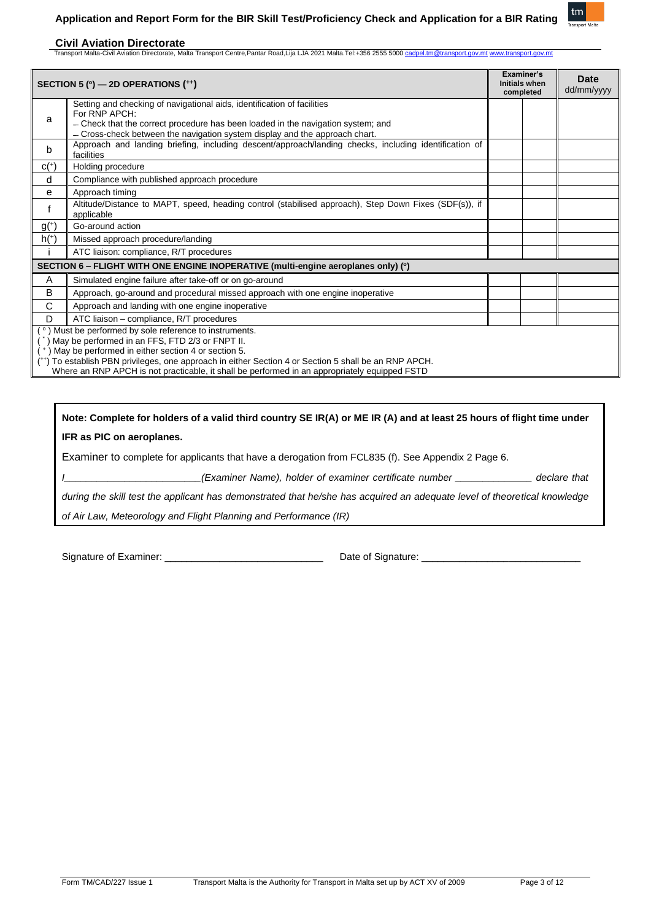

| SECTION 5 ( $\degree$ ) — 2D OPERATIONS ( $\leftrightarrow$ )                     |                                                                                                                                                                                                                                                                                                                                                                                | Examiner's<br><b>Initials when</b><br>completed |  | Date<br>dd/mm/yyyy |
|-----------------------------------------------------------------------------------|--------------------------------------------------------------------------------------------------------------------------------------------------------------------------------------------------------------------------------------------------------------------------------------------------------------------------------------------------------------------------------|-------------------------------------------------|--|--------------------|
| a                                                                                 | Setting and checking of navigational aids, identification of facilities<br>For RNP APCH:<br>- Check that the correct procedure has been loaded in the navigation system; and<br>- Cross-check between the navigation system display and the approach chart.                                                                                                                    |                                                 |  |                    |
| b                                                                                 | Approach and landing briefing, including descent/approach/landing checks, including identification of<br>facilities                                                                                                                                                                                                                                                            |                                                 |  |                    |
| $C(+)$                                                                            | Holding procedure                                                                                                                                                                                                                                                                                                                                                              |                                                 |  |                    |
| d                                                                                 | Compliance with published approach procedure                                                                                                                                                                                                                                                                                                                                   |                                                 |  |                    |
| е                                                                                 | Approach timing                                                                                                                                                                                                                                                                                                                                                                |                                                 |  |                    |
|                                                                                   | Altitude/Distance to MAPT, speed, heading control (stabilised approach), Step Down Fixes (SDF(s)), if<br>applicable                                                                                                                                                                                                                                                            |                                                 |  |                    |
| $g(+)$                                                                            | Go-around action                                                                                                                                                                                                                                                                                                                                                               |                                                 |  |                    |
| $h(+)$                                                                            | Missed approach procedure/landing                                                                                                                                                                                                                                                                                                                                              |                                                 |  |                    |
|                                                                                   | ATC liaison: compliance, R/T procedures                                                                                                                                                                                                                                                                                                                                        |                                                 |  |                    |
| SECTION 6 – FLIGHT WITH ONE ENGINE INOPERATIVE (multi-engine aeroplanes only) (°) |                                                                                                                                                                                                                                                                                                                                                                                |                                                 |  |                    |
| A                                                                                 | Simulated engine failure after take-off or on go-around                                                                                                                                                                                                                                                                                                                        |                                                 |  |                    |
| в                                                                                 | Approach, go-around and procedural missed approach with one engine inoperative                                                                                                                                                                                                                                                                                                 |                                                 |  |                    |
| C                                                                                 | Approach and landing with one engine inoperative                                                                                                                                                                                                                                                                                                                               |                                                 |  |                    |
| D                                                                                 | ATC liaison - compliance, R/T procedures                                                                                                                                                                                                                                                                                                                                       |                                                 |  |                    |
|                                                                                   | (°) Must be performed by sole reference to instruments.<br>May be performed in an FFS, FTD 2/3 or FNPT II.<br>(*) May be performed in either section 4 or section 5.<br>(**) To establish PBN privileges, one approach in either Section 4 or Section 5 shall be an RNP APCH.<br>Where an RNP APCH is not practicable, it shall be performed in an appropriately equipped FSTD |                                                 |  |                    |

# **Note: Complete for holders of a valid third country SE IR(A) or ME IR (A) and at least 25 hours of flight time under IFR as PIC on aeroplanes.**

Examiner to complete for applicants that have a derogation from FCL835 (f). See Appendix 2 Page 6.

*I\_\_\_\_\_\_\_\_\_\_\_\_\_\_\_\_\_\_\_\_\_\_\_\_\_(Examiner Name), holder of examiner certificate number \_\_\_\_\_\_\_\_\_\_\_\_\_\_ declare that* 

*during the skill test the applicant has demonstrated that he/she has acquired an adequate level of theoretical knowledge* 

*of Air Law, Meteorology and Flight Planning and Performance (IR)*

Signature of Examiner: \_\_\_\_\_\_\_\_\_\_\_\_\_\_\_\_\_\_\_\_\_\_\_\_\_\_\_\_\_ Date of Signature: \_\_\_\_\_\_\_\_\_\_\_\_\_\_\_\_\_\_\_\_\_\_\_\_\_\_\_\_\_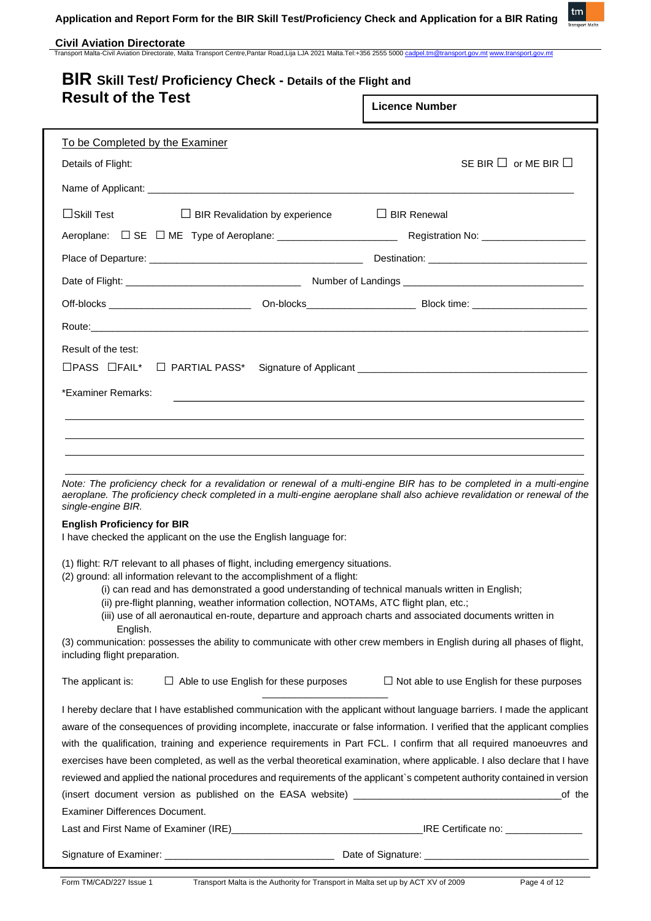

| <b>BIR Skill Test/ Proficiency Check - Details of the Flight and</b> |                                       |
|----------------------------------------------------------------------|---------------------------------------|
| <b>Result of the Test</b>                                            | $\overline{1}$ License $\overline{1}$ |

| OUIL VI LIIG TGOL                                                                                                                                            |                                                                                                                                                                                                                                | <b>Licence Number</b>                                                                                                                                                                                                                             |  |  |
|--------------------------------------------------------------------------------------------------------------------------------------------------------------|--------------------------------------------------------------------------------------------------------------------------------------------------------------------------------------------------------------------------------|---------------------------------------------------------------------------------------------------------------------------------------------------------------------------------------------------------------------------------------------------|--|--|
| To be Completed by the Examiner                                                                                                                              |                                                                                                                                                                                                                                |                                                                                                                                                                                                                                                   |  |  |
| Details of Flight:                                                                                                                                           |                                                                                                                                                                                                                                | SE BIR $\Box$ or ME BIR $\Box$                                                                                                                                                                                                                    |  |  |
|                                                                                                                                                              |                                                                                                                                                                                                                                |                                                                                                                                                                                                                                                   |  |  |
| $\Box$ Skill Test                                                                                                                                            | $\Box$ BIR Revalidation by experience                                                                                                                                                                                          | $\Box$ BIR Renewal                                                                                                                                                                                                                                |  |  |
|                                                                                                                                                              | Aeroplane: □ SE □ ME Type of Aeroplane: _________________________                                                                                                                                                              | Registration No: ___________________                                                                                                                                                                                                              |  |  |
|                                                                                                                                                              |                                                                                                                                                                                                                                |                                                                                                                                                                                                                                                   |  |  |
|                                                                                                                                                              |                                                                                                                                                                                                                                |                                                                                                                                                                                                                                                   |  |  |
|                                                                                                                                                              |                                                                                                                                                                                                                                |                                                                                                                                                                                                                                                   |  |  |
|                                                                                                                                                              | Route: will be a series of the contract of the contract of the contract of the contract of the contract of the contract of the contract of the contract of the contract of the contract of the contract of the contract of the |                                                                                                                                                                                                                                                   |  |  |
| Result of the test:                                                                                                                                          |                                                                                                                                                                                                                                |                                                                                                                                                                                                                                                   |  |  |
|                                                                                                                                                              |                                                                                                                                                                                                                                |                                                                                                                                                                                                                                                   |  |  |
| *Examiner Remarks:                                                                                                                                           |                                                                                                                                                                                                                                |                                                                                                                                                                                                                                                   |  |  |
|                                                                                                                                                              |                                                                                                                                                                                                                                |                                                                                                                                                                                                                                                   |  |  |
|                                                                                                                                                              |                                                                                                                                                                                                                                |                                                                                                                                                                                                                                                   |  |  |
|                                                                                                                                                              |                                                                                                                                                                                                                                |                                                                                                                                                                                                                                                   |  |  |
| single-engine BIR.                                                                                                                                           |                                                                                                                                                                                                                                | Note: The proficiency check for a revalidation or renewal of a multi-engine BIR has to be completed in a multi-engine<br>aeroplane. The proficiency check completed in a multi-engine aeroplane shall also achieve revalidation or renewal of the |  |  |
| <b>English Proficiency for BIR</b>                                                                                                                           |                                                                                                                                                                                                                                |                                                                                                                                                                                                                                                   |  |  |
| I have checked the applicant on the use the English language for:                                                                                            |                                                                                                                                                                                                                                |                                                                                                                                                                                                                                                   |  |  |
| (1) flight: R/T relevant to all phases of flight, including emergency situations.<br>(2) ground: all information relevant to the accomplishment of a flight: |                                                                                                                                                                                                                                |                                                                                                                                                                                                                                                   |  |  |
|                                                                                                                                                              | (i) can read and has demonstrated a good understanding of technical manuals written in English;                                                                                                                                |                                                                                                                                                                                                                                                   |  |  |
|                                                                                                                                                              | (ii) pre-flight planning, weather information collection, NOTAMs, ATC flight plan, etc.;                                                                                                                                       |                                                                                                                                                                                                                                                   |  |  |
| English.                                                                                                                                                     |                                                                                                                                                                                                                                | (iii) use of all aeronautical en-route, departure and approach charts and associated documents written in                                                                                                                                         |  |  |
| (3) communication: possesses the ability to communicate with other crew members in English during all phases of flight,<br>including flight preparation.     |                                                                                                                                                                                                                                |                                                                                                                                                                                                                                                   |  |  |

| The applicant is: | $\Box$ Able to use English for these purposes                | $\Box$ Not able to use English for these purposes                                                                          |
|-------------------|--------------------------------------------------------------|----------------------------------------------------------------------------------------------------------------------------|
|                   |                                                              | I hereby declare that I have established communication with the applicant without language barriers. I made the applicant  |
|                   |                                                              | aware of the consequences of providing incomplete, inaccurate or false information. I verified that the applicant complies |
|                   |                                                              | with the qualification, training and experience requirements in Part FCL. I confirm that all required manoeuvres and       |
|                   |                                                              | exercises have been completed, as well as the verbal theoretical examination, where applicable. I also declare that I have |
|                   |                                                              | reviewed and applied the national procedures and requirements of the applicant's competent authority contained in version  |
|                   | (insert document version as published on the EASA website) _ | of the                                                                                                                     |

Examiner Differences Document.

Last and First Name of Examiner (IRE)\_\_\_\_\_\_\_\_\_\_\_\_\_\_\_\_\_\_\_\_\_\_\_\_\_\_\_\_\_\_\_\_\_\_\_IRE Certificate no: \_\_\_\_\_\_\_\_\_\_\_\_\_\_

Signature of Examiner: \_\_\_\_\_\_\_\_\_\_\_\_\_\_\_\_\_\_\_\_\_\_\_\_\_\_\_\_\_\_\_ Date of Signature: \_\_\_\_\_\_\_\_\_\_\_\_\_\_\_\_\_\_\_\_\_\_\_\_\_\_\_\_\_\_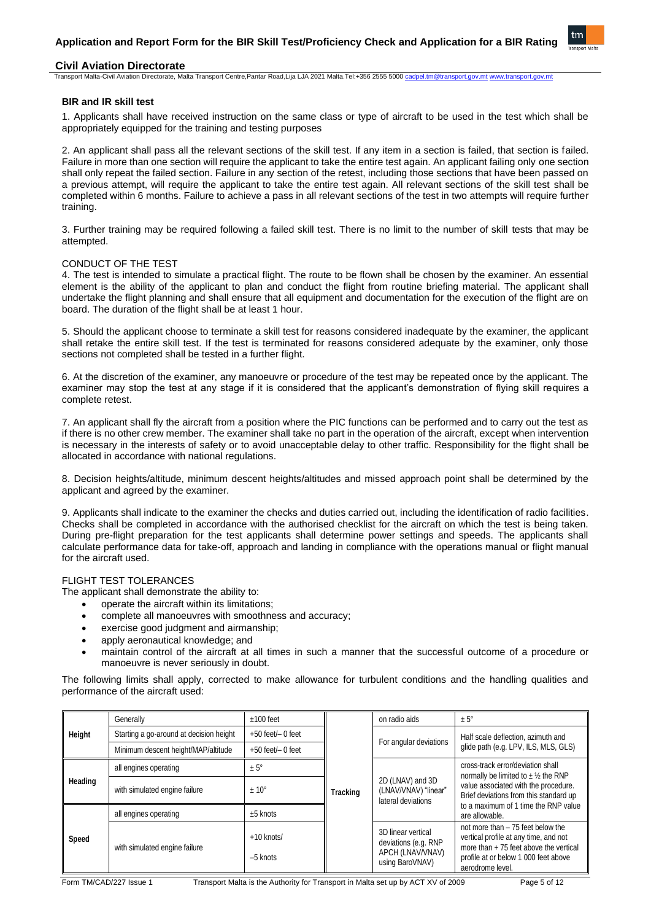

# **Civil Aviation Directorate**

### Transport Malta-Civil Aviation Directorate, Malta Transport Centre,Pantar Road,Lija LJA 2021 Malta.Tel:+356 2555 5000 [cadpel.tm@transport.gov.mt](mailto:cadpel.tm@transport.gov.mt)

# **BIR and IR skill test**

1. Applicants shall have received instruction on the same class or type of aircraft to be used in the test which shall be appropriately equipped for the training and testing purposes

2. An applicant shall pass all the relevant sections of the skill test. If any item in a section is failed, that section is failed. Failure in more than one section will require the applicant to take the entire test again. An applicant failing only one section shall only repeat the failed section. Failure in any section of the retest, including those sections that have been passed on a previous attempt, will require the applicant to take the entire test again. All relevant sections of the skill test shall be completed within 6 months. Failure to achieve a pass in all relevant sections of the test in two attempts will require further training.

3. Further training may be required following a failed skill test. There is no limit to the number of skill tests that may be attempted.

### CONDUCT OF THE TEST

4. The test is intended to simulate a practical flight. The route to be flown shall be chosen by the examiner. An essential element is the ability of the applicant to plan and conduct the flight from routine briefing material. The applicant shall undertake the flight planning and shall ensure that all equipment and documentation for the execution of the flight are on board. The duration of the flight shall be at least 1 hour.

5. Should the applicant choose to terminate a skill test for reasons considered inadequate by the examiner, the applicant shall retake the entire skill test. If the test is terminated for reasons considered adequate by the examiner, only those sections not completed shall be tested in a further flight.

6. At the discretion of the examiner, any manoeuvre or procedure of the test may be repeated once by the applicant. The examiner may stop the test at any stage if it is considered that the applicant's demonstration of flying skill requires a complete retest.

7. An applicant shall fly the aircraft from a position where the PIC functions can be performed and to carry out the test as if there is no other crew member. The examiner shall take no part in the operation of the aircraft, except when intervention is necessary in the interests of safety or to avoid unacceptable delay to other traffic. Responsibility for the flight shall be allocated in accordance with national regulations.

8. Decision heights/altitude, minimum descent heights/altitudes and missed approach point shall be determined by the applicant and agreed by the examiner.

9. Applicants shall indicate to the examiner the checks and duties carried out, including the identification of radio facilities. Checks shall be completed in accordance with the authorised checklist for the aircraft on which the test is being taken. During pre-flight preparation for the test applicants shall determine power settings and speeds. The applicants shall calculate performance data for take-off, approach and landing in compliance with the operations manual or flight manual for the aircraft used.

# FLIGHT TEST TOLERANCES

The applicant shall demonstrate the ability to:

- operate the aircraft within its limitations;
- complete all manoeuvres with smoothness and accuracy;
- exercise good judgment and airmanship;
- apply aeronautical knowledge; and
- maintain control of the aircraft at all times in such a manner that the successful outcome of a procedure or manoeuvre is never seriously in doubt.

The following limits shall apply, corrected to make allowance for turbulent conditions and the handling qualities and performance of the aircraft used:

|                                                                                                                                            | Generally                     | $±100$ feet                |                                      | on radio aids                                                                     | $± 5^{\circ}$                                                                                                                                                                      |  |
|--------------------------------------------------------------------------------------------------------------------------------------------|-------------------------------|----------------------------|--------------------------------------|-----------------------------------------------------------------------------------|------------------------------------------------------------------------------------------------------------------------------------------------------------------------------------|--|
| Starting a go-around at decision height<br>$+50$ feet/ $-0$ feet<br>Height<br>Minimum descent height/MAP/altitude<br>$+50$ feet/ $-0$ feet |                               |                            |                                      |                                                                                   | Half scale deflection, azimuth and                                                                                                                                                 |  |
|                                                                                                                                            |                               | For angular deviations     | glide path (e.g. LPV, ILS, MLS, GLS) |                                                                                   |                                                                                                                                                                                    |  |
|                                                                                                                                            | all engines operating         | $± 5^\circ$                |                                      |                                                                                   | cross-track error/deviation shall<br>normally be limited to $\pm$ 1/2 the RNP                                                                                                      |  |
| Heading                                                                                                                                    | with simulated engine failure | $± 10^{\circ}$             | <b>Tracking</b>                      | 2D (LNAV) and 3D<br>(LNAV/VNAV) "linear"<br>lateral deviations                    | value associated with the procedure.<br>Brief deviations from this standard up                                                                                                     |  |
|                                                                                                                                            | all engines operating         | $±5$ knots                 |                                      | to a maximum of 1 time the RNP value<br>are allowable.                            |                                                                                                                                                                                    |  |
| Speed                                                                                                                                      | with simulated engine failure | $+10$ knots/<br>$-5$ knots |                                      | 3D linear vertical<br>deviations (e.g. RNP<br>APCH (LNAV/VNAV)<br>using BaroVNAV) | not more than $-75$ feet below the<br>vertical profile at any time, and not<br>more than $+75$ feet above the vertical<br>profile at or below 1 000 feet above<br>aerodrome level. |  |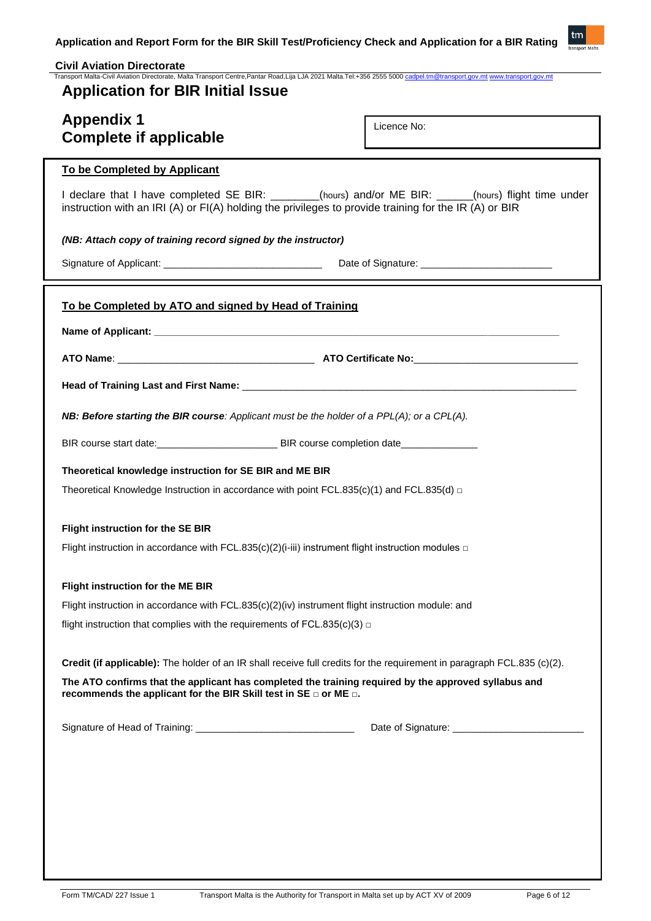

| <b>Civil Aviation Directorate</b><br>Transport Malta-Civil Aviation Directorate, Malta Transport Centre,Pantar Road,Lija LJA 2021 Malta.Tel:+356 2555 5000 cadpel.tm@transport.gov.mt www.transport.gov.mt  |             |  |
|-------------------------------------------------------------------------------------------------------------------------------------------------------------------------------------------------------------|-------------|--|
| <b>Application for BIR Initial Issue</b>                                                                                                                                                                    |             |  |
|                                                                                                                                                                                                             |             |  |
| <b>Appendix 1</b><br><b>Complete if applicable</b>                                                                                                                                                          | Licence No: |  |
|                                                                                                                                                                                                             |             |  |
| To be Completed by Applicant                                                                                                                                                                                |             |  |
| I declare that I have completed SE BIR: ______(hours) and/or ME BIR: ____(hours) flight time under<br>instruction with an IRI (A) or FI(A) holding the privileges to provide training for the IR (A) or BIR |             |  |
| (NB: Attach copy of training record signed by the instructor)                                                                                                                                               |             |  |
|                                                                                                                                                                                                             |             |  |
| To be Completed by ATO and signed by Head of Training                                                                                                                                                       |             |  |
|                                                                                                                                                                                                             |             |  |
|                                                                                                                                                                                                             |             |  |
|                                                                                                                                                                                                             |             |  |
| NB: Before starting the BIR course: Applicant must be the holder of a $PPL(A)$ ; or a $CPL(A)$ .                                                                                                            |             |  |
| BIR course start date: BIR course completion date                                                                                                                                                           |             |  |
| Theoretical knowledge instruction for SE BIR and ME BIR                                                                                                                                                     |             |  |
| Theoretical Knowledge Instruction in accordance with point FCL.835(c)(1) and FCL.835(d) $\Box$                                                                                                              |             |  |
| Flight instruction for the SE BIR                                                                                                                                                                           |             |  |
| Flight instruction in accordance with FCL.835(c)(2)(i-iii) instrument flight instruction modules $\Box$                                                                                                     |             |  |
| Flight instruction for the ME BIR                                                                                                                                                                           |             |  |
| Flight instruction in accordance with FCL.835(c)(2)(iv) instrument flight instruction module: and                                                                                                           |             |  |
| flight instruction that complies with the requirements of FCL.835(c)(3) $\Box$                                                                                                                              |             |  |
| Credit (if applicable): The holder of an IR shall receive full credits for the requirement in paragraph FCL.835 (c)(2).                                                                                     |             |  |
| The ATO confirms that the applicant has completed the training required by the approved syllabus and<br>recommends the applicant for the BIR Skill test in SE $\Box$ or ME $\Box$ .                         |             |  |
|                                                                                                                                                                                                             |             |  |
|                                                                                                                                                                                                             |             |  |
|                                                                                                                                                                                                             |             |  |
|                                                                                                                                                                                                             |             |  |
|                                                                                                                                                                                                             |             |  |
|                                                                                                                                                                                                             |             |  |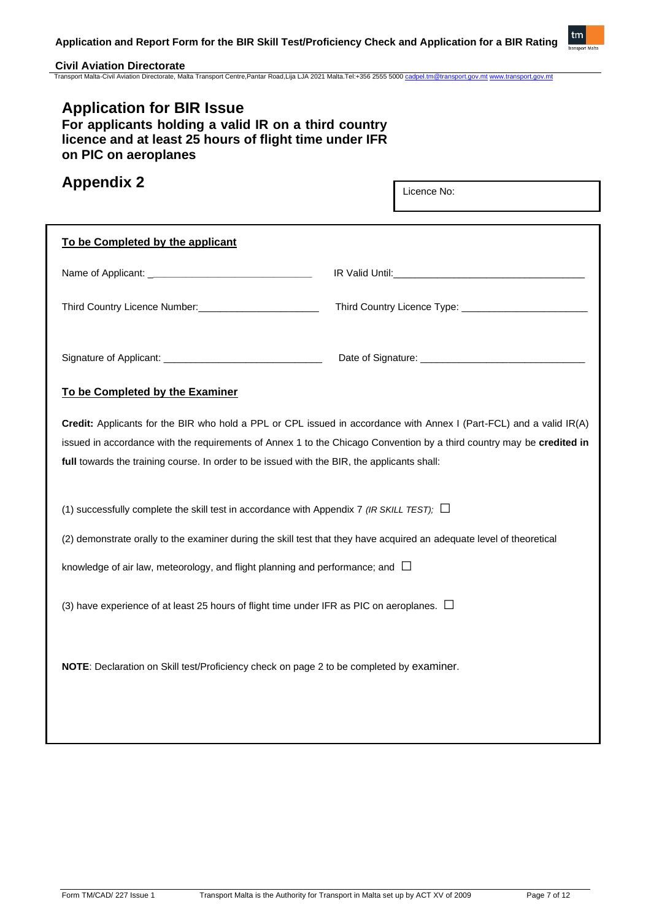

# **Civil Aviation Directorate**

Transport Malta-Civil Aviation Directorate, Malta Transport Centre,Pantar Road,Lija LJA 2021 Malta.Tel:+356 2555 5000 [cadpel.tm@transport.gov.mt](mailto:cadpel.tm@transport.gov.mt) [www.transport.gov.mt](http://www.transport.gov.mt/)

# **Application for BIR Issue**

**For applicants holding a valid IR on a third country licence and at least 25 hours of flight time under IFR on PIC on aeroplanes**

# **Appendix 2**

Licence No:

| To be Completed by the applicant                                                                                                                                                                                                                                                                                                            |  |  |  |
|---------------------------------------------------------------------------------------------------------------------------------------------------------------------------------------------------------------------------------------------------------------------------------------------------------------------------------------------|--|--|--|
|                                                                                                                                                                                                                                                                                                                                             |  |  |  |
| Third Country Licence Number:<br><u> Licence Number:</u>                                                                                                                                                                                                                                                                                    |  |  |  |
|                                                                                                                                                                                                                                                                                                                                             |  |  |  |
| To be Completed by the Examiner                                                                                                                                                                                                                                                                                                             |  |  |  |
| Credit: Applicants for the BIR who hold a PPL or CPL issued in accordance with Annex I (Part-FCL) and a valid IR(A)<br>issued in accordance with the requirements of Annex 1 to the Chicago Convention by a third country may be credited in<br>full towards the training course. In order to be issued with the BIR, the applicants shall: |  |  |  |
| (1) successfully complete the skill test in accordance with Appendix 7 (IR SKILL TEST); $\Box$                                                                                                                                                                                                                                              |  |  |  |
| (2) demonstrate orally to the examiner during the skill test that they have acquired an adequate level of theoretical                                                                                                                                                                                                                       |  |  |  |
| knowledge of air law, meteorology, and flight planning and performance; and $\Box$                                                                                                                                                                                                                                                          |  |  |  |
| (3) have experience of at least 25 hours of flight time under IFR as PIC on aeroplanes. $\Box$                                                                                                                                                                                                                                              |  |  |  |
| NOTE: Declaration on Skill test/Proficiency check on page 2 to be completed by examiner.                                                                                                                                                                                                                                                    |  |  |  |
|                                                                                                                                                                                                                                                                                                                                             |  |  |  |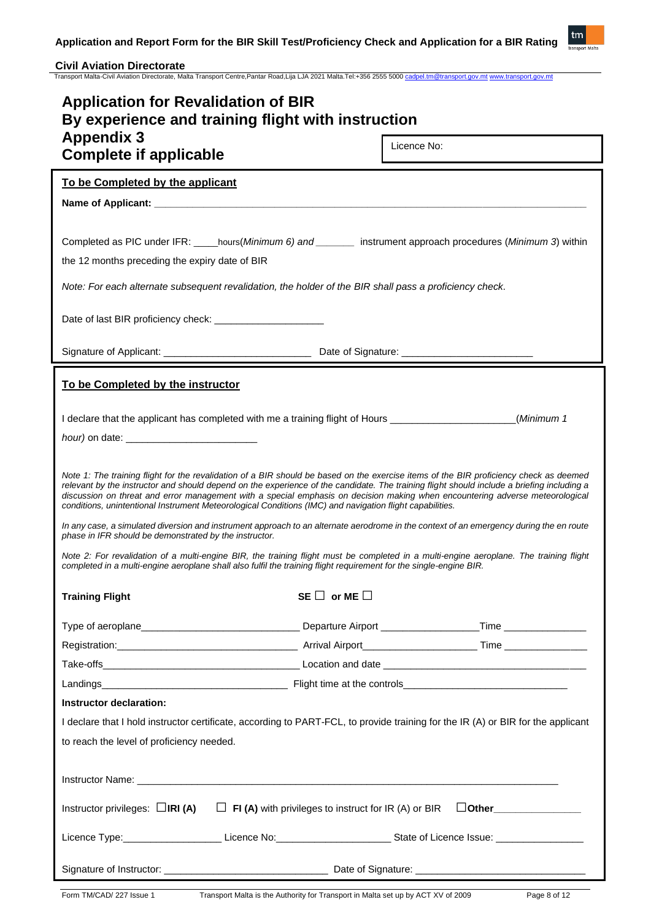

| <b>Application for Revalidation of BIR</b><br>By experience and training flight with instruction                                                                                                                                                                                                                                                                                                                                                                                                                                                                                                                                                                                                                                                                                                                                                                                 |                        |                             |  |  |
|----------------------------------------------------------------------------------------------------------------------------------------------------------------------------------------------------------------------------------------------------------------------------------------------------------------------------------------------------------------------------------------------------------------------------------------------------------------------------------------------------------------------------------------------------------------------------------------------------------------------------------------------------------------------------------------------------------------------------------------------------------------------------------------------------------------------------------------------------------------------------------|------------------------|-----------------------------|--|--|
| <b>Appendix 3</b><br><b>Complete if applicable</b>                                                                                                                                                                                                                                                                                                                                                                                                                                                                                                                                                                                                                                                                                                                                                                                                                               |                        | Licence No:                 |  |  |
| To be Completed by the applicant                                                                                                                                                                                                                                                                                                                                                                                                                                                                                                                                                                                                                                                                                                                                                                                                                                                 |                        |                             |  |  |
|                                                                                                                                                                                                                                                                                                                                                                                                                                                                                                                                                                                                                                                                                                                                                                                                                                                                                  |                        |                             |  |  |
|                                                                                                                                                                                                                                                                                                                                                                                                                                                                                                                                                                                                                                                                                                                                                                                                                                                                                  |                        |                             |  |  |
| Completed as PIC under IFR: _____hours(Minimum 6) and ________ instrument approach procedures (Minimum 3) within<br>the 12 months preceding the expiry date of BIR                                                                                                                                                                                                                                                                                                                                                                                                                                                                                                                                                                                                                                                                                                               |                        |                             |  |  |
| Note: For each alternate subsequent revalidation, the holder of the BIR shall pass a proficiency check.                                                                                                                                                                                                                                                                                                                                                                                                                                                                                                                                                                                                                                                                                                                                                                          |                        |                             |  |  |
| Date of last BIR proficiency check: ________________________                                                                                                                                                                                                                                                                                                                                                                                                                                                                                                                                                                                                                                                                                                                                                                                                                     |                        |                             |  |  |
|                                                                                                                                                                                                                                                                                                                                                                                                                                                                                                                                                                                                                                                                                                                                                                                                                                                                                  |                        |                             |  |  |
| To be Completed by the instructor                                                                                                                                                                                                                                                                                                                                                                                                                                                                                                                                                                                                                                                                                                                                                                                                                                                |                        |                             |  |  |
| I declare that the applicant has completed with me a training flight of Hours ______________________                                                                                                                                                                                                                                                                                                                                                                                                                                                                                                                                                                                                                                                                                                                                                                             |                        | (Minimum 1                  |  |  |
|                                                                                                                                                                                                                                                                                                                                                                                                                                                                                                                                                                                                                                                                                                                                                                                                                                                                                  |                        |                             |  |  |
| Note 1: The training flight for the revalidation of a BIR should be based on the exercise items of the BIR proficiency check as deemed<br>relevant by the instructor and should depend on the experience of the candidate. The training flight should include a briefing including a<br>discussion on threat and error management with a special emphasis on decision making when encountering adverse meteorological<br>conditions, unintentional Instrument Meteorological Conditions (IMC) and navigation flight capabilities.<br>In any case, a simulated diversion and instrument approach to an alternate aerodrome in the context of an emergency during the en route<br>phase in IFR should be demonstrated by the instructor.<br>Note 2: For revalidation of a multi-engine BIR, the training flight must be completed in a multi-engine aeroplane. The training flight |                        |                             |  |  |
| completed in a multi-engine aeroplane shall also fulfil the training flight requirement for the single-engine BIR.<br><b>Training Flight</b>                                                                                                                                                                                                                                                                                                                                                                                                                                                                                                                                                                                                                                                                                                                                     | SE $\Box$ or ME $\Box$ |                             |  |  |
|                                                                                                                                                                                                                                                                                                                                                                                                                                                                                                                                                                                                                                                                                                                                                                                                                                                                                  |                        |                             |  |  |
|                                                                                                                                                                                                                                                                                                                                                                                                                                                                                                                                                                                                                                                                                                                                                                                                                                                                                  |                        |                             |  |  |
|                                                                                                                                                                                                                                                                                                                                                                                                                                                                                                                                                                                                                                                                                                                                                                                                                                                                                  |                        |                             |  |  |
|                                                                                                                                                                                                                                                                                                                                                                                                                                                                                                                                                                                                                                                                                                                                                                                                                                                                                  |                        |                             |  |  |
| Instructor declaration:                                                                                                                                                                                                                                                                                                                                                                                                                                                                                                                                                                                                                                                                                                                                                                                                                                                          |                        |                             |  |  |
| I declare that I hold instructor certificate, according to PART-FCL, to provide training for the IR (A) or BIR for the applicant                                                                                                                                                                                                                                                                                                                                                                                                                                                                                                                                                                                                                                                                                                                                                 |                        |                             |  |  |
| to reach the level of proficiency needed.                                                                                                                                                                                                                                                                                                                                                                                                                                                                                                                                                                                                                                                                                                                                                                                                                                        |                        |                             |  |  |
|                                                                                                                                                                                                                                                                                                                                                                                                                                                                                                                                                                                                                                                                                                                                                                                                                                                                                  |                        |                             |  |  |
|                                                                                                                                                                                                                                                                                                                                                                                                                                                                                                                                                                                                                                                                                                                                                                                                                                                                                  |                        |                             |  |  |
| Instructor privileges: $\Box$ IRI (A) $\Box$ FI (A) with privileges to instruct for IR (A) or BIR                                                                                                                                                                                                                                                                                                                                                                                                                                                                                                                                                                                                                                                                                                                                                                                |                        | $\Box$ Other_______________ |  |  |
|                                                                                                                                                                                                                                                                                                                                                                                                                                                                                                                                                                                                                                                                                                                                                                                                                                                                                  |                        |                             |  |  |
|                                                                                                                                                                                                                                                                                                                                                                                                                                                                                                                                                                                                                                                                                                                                                                                                                                                                                  |                        |                             |  |  |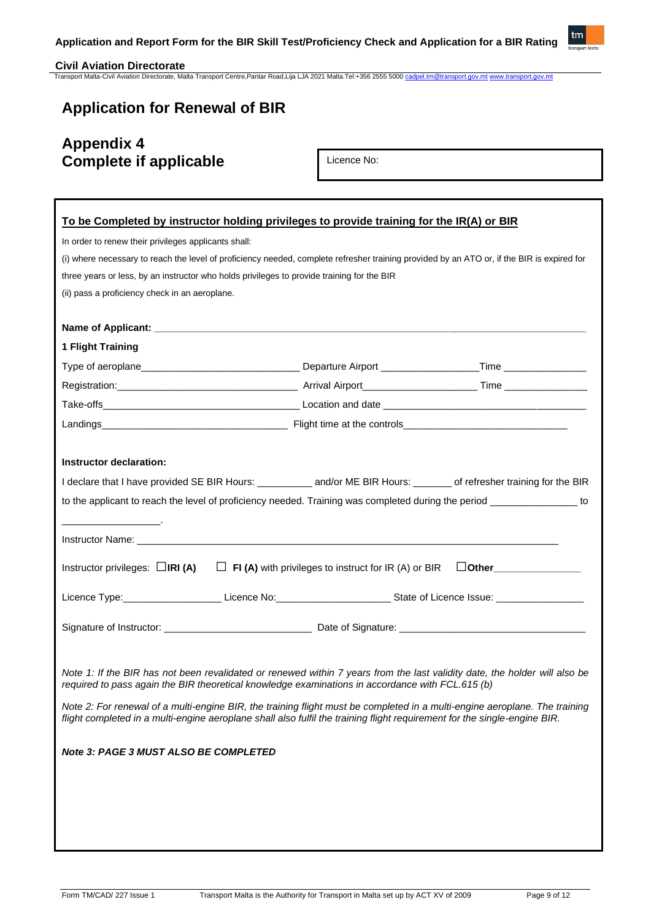

# **Application for Renewal of BIR**

# **Appendix 4 Complete if applicable**

Licence No: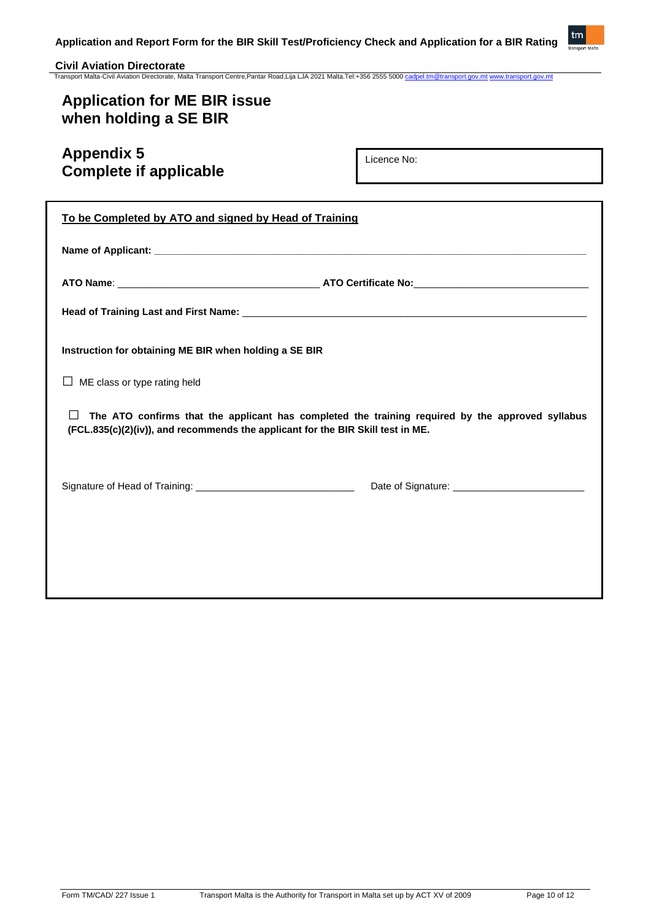

# **Application for ME BIR issue when holding a SE BIR**

# **Appendix 5 Complete if applicable**

Licence No:

| To be Completed by ATO and signed by Head of Training                                                                                                                                          |  |  |  |
|------------------------------------------------------------------------------------------------------------------------------------------------------------------------------------------------|--|--|--|
|                                                                                                                                                                                                |  |  |  |
|                                                                                                                                                                                                |  |  |  |
|                                                                                                                                                                                                |  |  |  |
| Instruction for obtaining ME BIR when holding a SE BIR                                                                                                                                         |  |  |  |
| ME class or type rating held                                                                                                                                                                   |  |  |  |
| The ATO confirms that the applicant has completed the training required by the approved syllabus<br>$\perp$<br>(FCL.835(c)(2)(iv)), and recommends the applicant for the BIR Skill test in ME. |  |  |  |
|                                                                                                                                                                                                |  |  |  |
|                                                                                                                                                                                                |  |  |  |
|                                                                                                                                                                                                |  |  |  |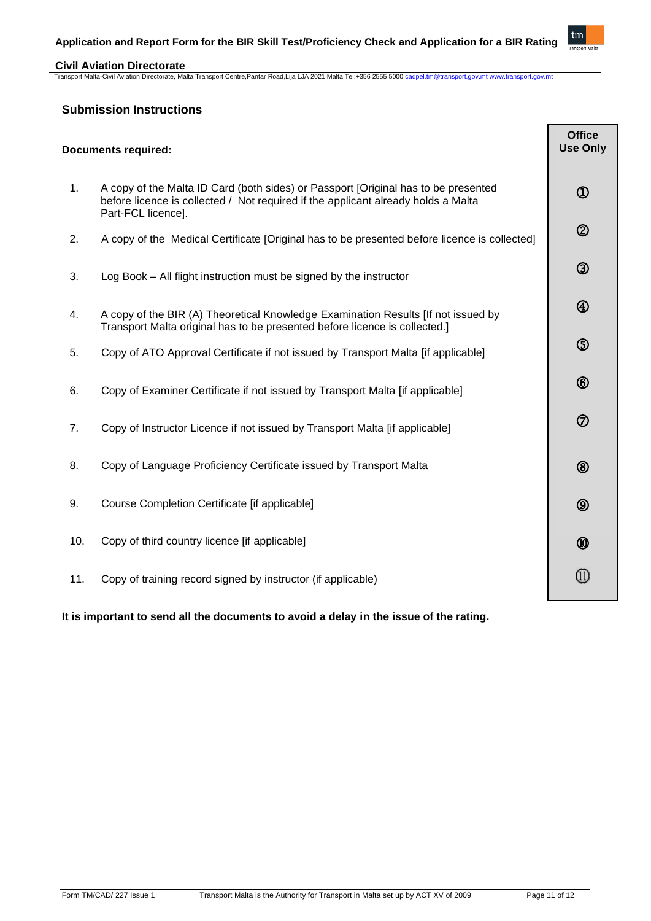

### **Civil Aviation Directorate** Transport Malta-Civil Aviation Directorate, Malta Transport Centre,Pantar Road,Lija LJA 2021 Malta.Tel:+356 2555 5000 [cadpel.tm@transport.gov.mt](mailto:cadpel.tm@transport.gov.mt) [www.transport.gov.mt](http://www.transport.gov.mt/)

# **Submission Instructions**

| <b>Documents required:</b> |                                                                                                                                                                                               | <b>Office</b><br><b>Use Only</b> |
|----------------------------|-----------------------------------------------------------------------------------------------------------------------------------------------------------------------------------------------|----------------------------------|
| 1.                         | A copy of the Malta ID Card (both sides) or Passport [Original has to be presented<br>before licence is collected / Not required if the applicant already holds a Malta<br>Part-FCL licence]. | $\bigcirc$                       |
| 2.                         | A copy of the Medical Certificate [Original has to be presented before licence is collected]                                                                                                  | $\circledS$                      |
| 3.                         | Log Book - All flight instruction must be signed by the instructor                                                                                                                            | $\circledS$                      |
| 4.                         | A copy of the BIR (A) Theoretical Knowledge Examination Results [If not issued by<br>Transport Malta original has to be presented before licence is collected.]                               | $\bigcirc$                       |
| 5.                         | Copy of ATO Approval Certificate if not issued by Transport Malta [if applicable]                                                                                                             | $\circledS$                      |
| 6.                         | Copy of Examiner Certificate if not issued by Transport Malta [if applicable]                                                                                                                 | $^{\circledR}$                   |
| 7.                         | Copy of Instructor Licence if not issued by Transport Malta [if applicable]                                                                                                                   | $\circledcirc$                   |
| 8.                         | Copy of Language Proficiency Certificate issued by Transport Malta                                                                                                                            | $^{\circledR}$                   |
| 9.                         | Course Completion Certificate [if applicable]                                                                                                                                                 | $\circledcirc$                   |
| 10.                        | Copy of third country licence [if applicable]                                                                                                                                                 | $\circledR$                      |
| 11.                        | Copy of training record signed by instructor (if applicable)                                                                                                                                  | Œ                                |

# **It is important to send all the documents to avoid a delay in the issue of the rating.**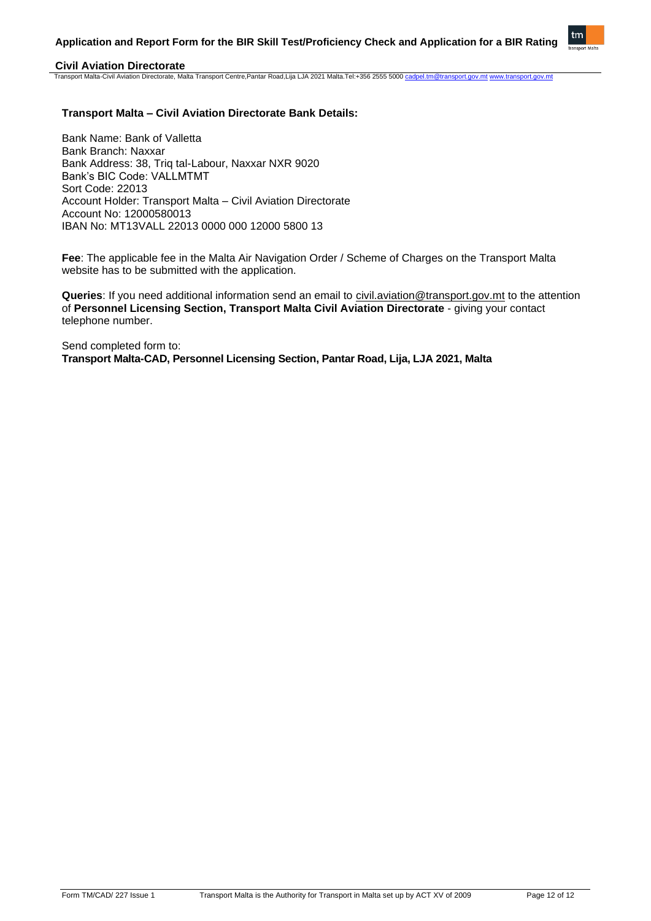

# **Transport Malta – Civil Aviation Directorate Bank Details:**

Bank Name: Bank of Valletta Bank Branch: Naxxar Bank Address: 38, Triq tal-Labour, Naxxar NXR 9020 Bank's BIC Code: VALLMTMT Sort Code: 22013 Account Holder: Transport Malta – Civil Aviation Directorate Account No: 12000580013 IBAN No: MT13VALL 22013 0000 000 12000 5800 13

**Fee**: The applicable fee in the Malta Air Navigation Order / Scheme of Charges on the Transport Malta website has to be submitted with the application.

**Queries**: If you need additional information send an email to [civil.aviation@transport.gov.mt](mailto:civil.aviation@transport.gov.mt) to the attention of **Personnel Licensing Section, Transport Malta Civil Aviation Directorate** - giving your contact telephone number.

Send completed form to: **Transport Malta-CAD, Personnel Licensing Section, Pantar Road, Lija, LJA 2021, Malta**